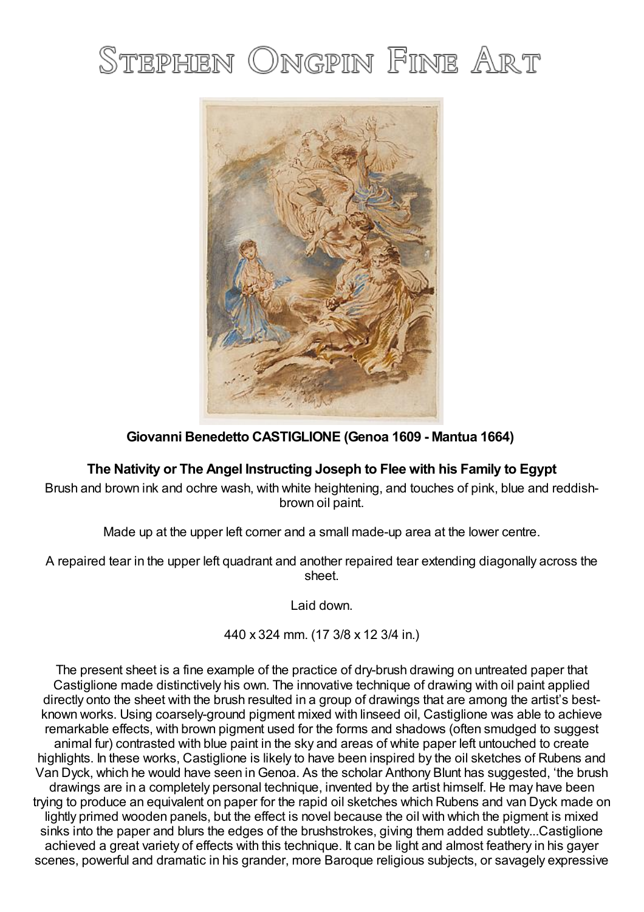# STEPHEN ONGPIN FINE ART



## **Giovanni Benedetto CASTIGLIONE (Genoa 1609 - Mantua 1664)**

## **The Nativity or The Angel Instructing Joseph to Flee with his Family to Egypt**

Brush and brown ink and ochre wash, with white heightening, and touches of pink, blue and reddishbrown oil paint.

Made up at the upper left corner and a small made-up area at the lower centre.

A repaired tear in the upper left quadrant and another repaired tear extending diagonally across the sheet.

Laid down.

440 x 324 mm. (17 3/8 x 12 3/4 in.)

The present sheet is a fine example of the practice of dry-brush drawing on untreated paper that Castiglione made distinctively his own. The innovative technique of drawing with oil paint applied directly onto the sheet with the brush resulted in a group of drawings that are among the artist's bestknown works. Using coarsely-ground pigment mixed with linseed oil, Castiglione was able to achieve remarkable effects, with brown pigment used for the forms and shadows (often smudged to suggest animal fur) contrasted with blue paint in the sky and areas of white paper left untouched to create highlights. In these works, Castiglione is likely to have been inspired by the oil sketches of Rubens and Van Dyck, which he would have seen inGenoa. As the scholar Anthony Blunt has suggested, 'the brush drawings are in a completely personal technique, invented by the artist himself. He may have been trying to produce an equivalent on paper for the rapid oil sketches which Rubens and van Dyck made on lightly primed wooden panels, but the effect is novel because the oil with which the pigment is mixed sinks into the paper and blurs the edges of the brushstrokes, giving them added subtlety...Castiglione achieved a great variety of effects with this technique. It can be light and almost feathery in his gayer scenes, powerful and dramatic in his grander, more Baroque religious subjects, or savagely expressive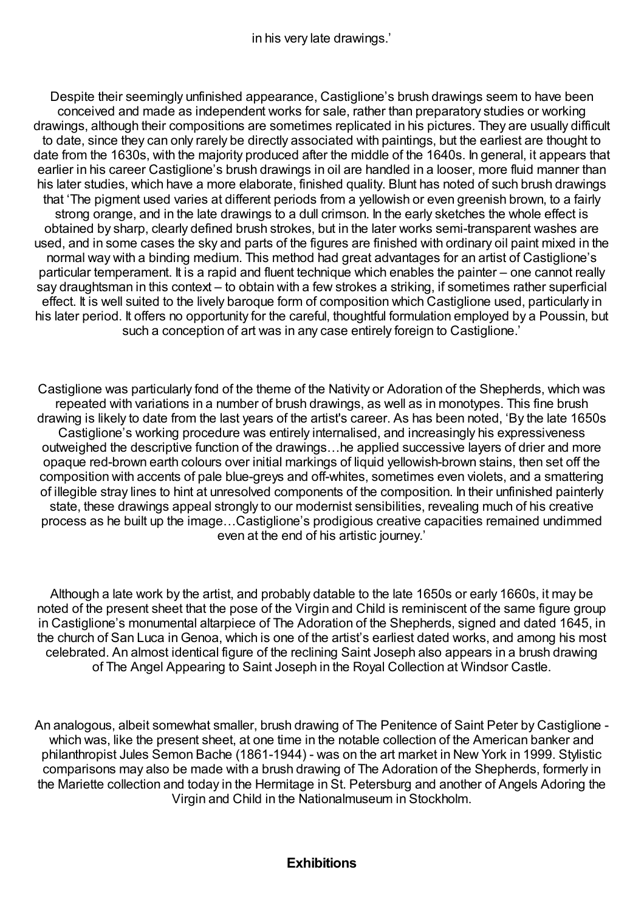in his very late drawings.'

Despite their seemingly unfinished appearance, Castiglione's brush drawings seem to have been conceived and made as independent works for sale, rather than preparatory studies or working drawings, although their compositions are sometimes replicated in his pictures. They are usually difficult to date, since they can only rarely be directly associated with paintings, but the earliest are thought to date from the 1630s, with the majority produced after the middle of the 1640s. In general, it appears that earlier in his career Castiglione's brush drawings in oil are handled in a looser, more fluid manner than his later studies, which have a more elaborate, finished quality. Blunt has noted of such brush drawings that 'The pigment used varies at different periods from a yellowish or even greenish brown, to a fairly strong orange, and in the late drawings to a dull crimson. In the early sketches the whole effect is obtained by sharp, clearly defined brush strokes, but in the later works semi-transparent washes are used, and in some cases the sky and parts of the figures are finished with ordinary oil paint mixed in the normal way with a binding medium. This method had great advantages for an artist of Castiglione's particular temperament. It is a rapid and fluent technique which enables the painter – one cannot really say draughtsman in this context – to obtain with a few strokes a striking, if sometimes rather superficial effect. It is well suited to the lively baroque form of composition which Castiglione used, particularly in his later period. It offers no opportunity for the careful, thoughtful formulation employed by a Poussin, but such a conception of art was in any case entirely foreign to Castiglione.'

Castiglione was particularly fond of the theme of the Nativity or Adoration of the Shepherds, which was repeated with variations in a number of brush drawings, as well as in monotypes. This fine brush drawing is likely to date from the last years of the artist's career. As has been noted, 'By the late 1650s Castiglione's working procedure was entirely internalised, and increasingly his expressiveness outweighed the descriptive function of the drawings…he applied successive layers of drier and more opaque red-brown earth colours over initial markings of liquid yellowish-brown stains, then set off the composition with accents of pale blue-greys and off-whites, sometimes even violets, and a smattering of illegible stray lines to hint at unresolved components of the composition. In their unfinished painterly state, these drawings appeal strongly to our modernist sensibilities, revealing much of his creative process as he built up the image…Castiglione's prodigious creative capacities remained undimmed even at the end of his artistic journey.'

Although a late work by the artist, and probably datable to the late 1650s or early 1660s, it may be noted of the present sheet that the pose of the Virgin and Child is reminiscent of the same figure group in Castiglione's monumental altarpiece of The Adoration of the Shepherds, signed and dated 1645, in the church of San Luca inGenoa, which is one of the artist's earliest dated works, and among his most celebrated. An almost identical figure of the reclining Saint Joseph also appears in a brush drawing of The Angel Appearing to Saint Joseph in the Royal Collection at Windsor Castle.

An analogous, albeit somewhat smaller, brush drawing of The Penitence of Saint Peter by Castiglione which was, like the present sheet, at one time in the notable collection of the American banker and philanthropist Jules Semon Bache (1861-1944) - was on the art market in New York in 1999. Stylistic comparisons may also be made with a brush drawing of The Adoration of the Shepherds, formerly in the Mariette collection and today in the Hermitage in St. Petersburg and another of Angels Adoring the Virgin and Child in the Nationalmuseum in Stockholm.